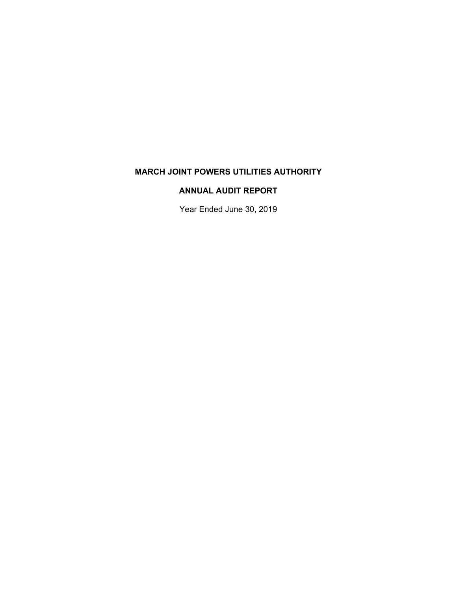# **ANNUAL AUDIT REPORT**

Year Ended June 30, 2019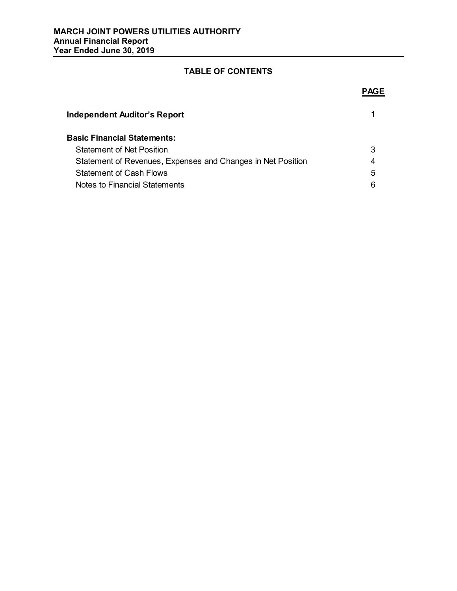# **TABLE OF CONTENTS**

| <b>Independent Auditor's Report</b>                         |   |
|-------------------------------------------------------------|---|
| Basic Financial Statements:                                 |   |
| <b>Statement of Net Position</b>                            |   |
| Statement of Revenues, Expenses and Changes in Net Position |   |
| <b>Statement of Cash Flows</b>                              | 5 |
| Notes to Financial Statements                               | 6 |

# **PAGE**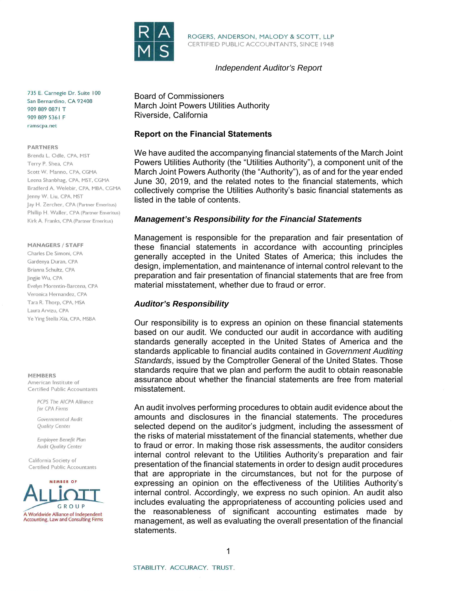

ROGERS, ANDERSON, MALODY & SCOTT, LLP CERTIFIED PUBLIC ACCOUNTANTS, SINCE 1948

### *Independent Auditor's Report*

735 E. Carnegie Dr. Suite 100 San Bernardino, CA 92408 909 889 0871 T 909 889 5361 F ramscpa.net

#### **PARTNERS**

Brenda L. Odle, CPA, MST Terry P. Shea, CPA Scott W. Manno, CPA, CGMA Leena Shanbhag, CPA, MST, CGMA Bradferd A. Welebir, CPA, MBA, CGMA Jenny W. Liu, CPA, MST Jay H. Zercher, CPA (Partner Emeritus) Phillip H. Waller, CPA (Partner Emeritus) Kirk A. Franks, CPA (Partner Emeritus)

#### **MANAGERS / STAFF**

Charles De Simoni, CPA Gardenya Duran, CPA Brianna Schultz, CPA lingije Wu, CPA Evelyn Morentin-Barcena, CPA Veronica Hernandez, CPA Tara R. Thorp, CPA, MSA Laura Arvizu, CPA Ye Ying Stella Xia, CPA, MSBA

#### **MEMBERS**

American Institute of Certified Public Accountants

> PCPS The AICPA Alliance for CPA Firms

Governmental Audit Quality Center

Employee Benefit Plan Audit Ouality Center

California Society of Certified Public Accountants



Board of Commissioners March Joint Powers Utilities Authority Riverside, California

#### **Report on the Financial Statements**

We have audited the accompanying financial statements of the March Joint Powers Utilities Authority (the "Utilities Authority"), a component unit of the March Joint Powers Authority (the "Authority"), as of and for the year ended June 30, 2019, and the related notes to the financial statements, which collectively comprise the Utilities Authority's basic financial statements as listed in the table of contents.

### *Management's Responsibility for the Financial Statements*

Management is responsible for the preparation and fair presentation of these financial statements in accordance with accounting principles generally accepted in the United States of America; this includes the design, implementation, and maintenance of internal control relevant to the preparation and fair presentation of financial statements that are free from material misstatement, whether due to fraud or error.

## *Auditor's Responsibility*

Our responsibility is to express an opinion on these financial statements based on our audit. We conducted our audit in accordance with auditing standards generally accepted in the United States of America and the standards applicable to financial audits contained in *Government Auditing Standards*, issued by the Comptroller General of the United States. Those standards require that we plan and perform the audit to obtain reasonable assurance about whether the financial statements are free from material misstatement.

An audit involves performing procedures to obtain audit evidence about the amounts and disclosures in the financial statements. The procedures selected depend on the auditor's judgment, including the assessment of the risks of material misstatement of the financial statements, whether due to fraud or error. In making those risk assessments, the auditor considers internal control relevant to the Utilities Authority's preparation and fair presentation of the financial statements in order to design audit procedures that are appropriate in the circumstances, but not for the purpose of expressing an opinion on the effectiveness of the Utilities Authority's internal control. Accordingly, we express no such opinion. An audit also includes evaluating the appropriateness of accounting policies used and the reasonableness of significant accounting estimates made by management, as well as evaluating the overall presentation of the financial statements.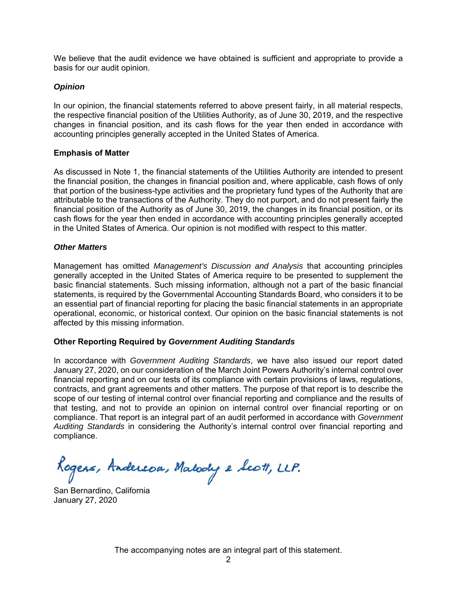We believe that the audit evidence we have obtained is sufficient and appropriate to provide a basis for our audit opinion.

# *Opinion*

In our opinion, the financial statements referred to above present fairly, in all material respects, the respective financial position of the Utilities Authority, as of June 30, 2019, and the respective changes in financial position, and its cash flows for the year then ended in accordance with accounting principles generally accepted in the United States of America.

## **Emphasis of Matter**

As discussed in Note 1, the financial statements of the Utilities Authority are intended to present the financial position, the changes in financial position and, where applicable, cash flows of only that portion of the business-type activities and the proprietary fund types of the Authority that are attributable to the transactions of the Authority. They do not purport, and do not present fairly the financial position of the Authority as of June 30, 2019, the changes in its financial position, or its cash flows for the year then ended in accordance with accounting principles generally accepted in the United States of America. Our opinion is not modified with respect to this matter.

## *Other Matters*

Management has omitted *Management's Discussion and Analysis* that accounting principles generally accepted in the United States of America require to be presented to supplement the basic financial statements. Such missing information, although not a part of the basic financial statements, is required by the Governmental Accounting Standards Board, who considers it to be an essential part of financial reporting for placing the basic financial statements in an appropriate operational, economic, or historical context. Our opinion on the basic financial statements is not affected by this missing information.

## **Other Reporting Required by** *Government Auditing Standards*

In accordance with *Government Auditing Standards*, we have also issued our report dated January 27, 2020, on our consideration of the March Joint Powers Authority's internal control over financial reporting and on our tests of its compliance with certain provisions of laws, regulations, contracts, and grant agreements and other matters. The purpose of that report is to describe the scope of our testing of internal control over financial reporting and compliance and the results of that testing, and not to provide an opinion on internal control over financial reporting or on compliance. That report is an integral part of an audit performed in accordance with *Government Auditing Standards* in considering the Authority's internal control over financial reporting and compliance.

Rogers, Andereon, Malody e Scott, LLP.

San Bernardino, California January 27, 2020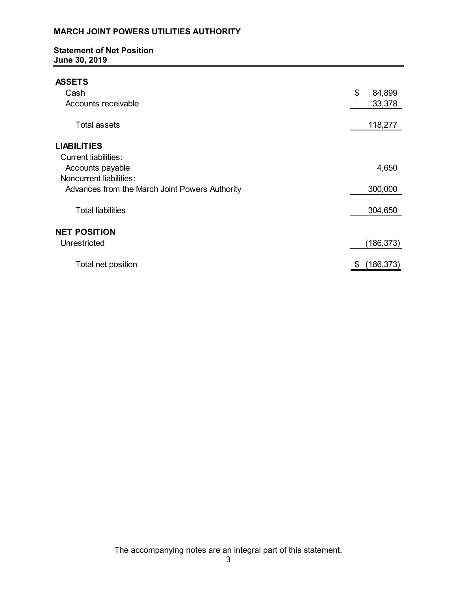# **Statement of Net Position June 30, 2019**

| <b>ASSETS</b>                                  |              |
|------------------------------------------------|--------------|
| Cash                                           | \$<br>84,899 |
| Accounts receivable                            | 33,378       |
| <b>Total assets</b>                            | 118,277      |
| <b>LIABILITIES</b>                             |              |
| <b>Current liabilities:</b>                    |              |
| Accounts payable                               | 4,650        |
| Noncurrent liabilities:                        |              |
| Advances from the March Joint Powers Authority | 300,000      |
| <b>Total liabilities</b>                       | 304,650      |
| <b>NET POSITION</b>                            |              |
| Unrestricted                                   | (186, 373)   |
| Total net position                             | (186, 373)   |

The accompanying notes are an integral part of this statement.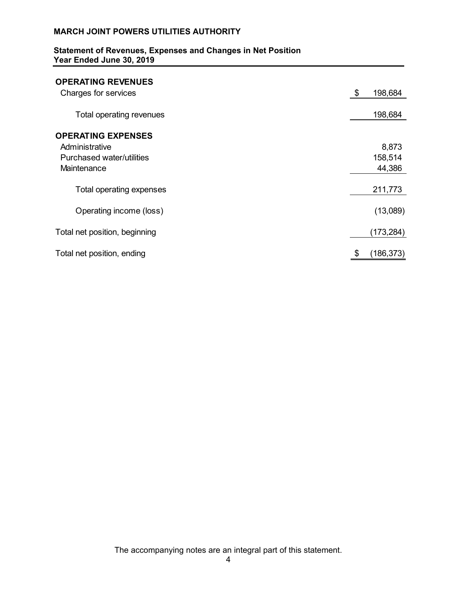#### **Statement of Revenues, Expenses and Changes in Net Position Year Ended June 30, 2019**

| <b>OPERATING REVENUES</b>     |               |
|-------------------------------|---------------|
| Charges for services          | \$<br>198,684 |
| Total operating revenues      | 198,684       |
| <b>OPERATING EXPENSES</b>     |               |
| Administrative                | 8,873         |
| Purchased water/utilities     | 158,514       |
| Maintenance                   | 44,386        |
| Total operating expenses      | 211,773       |
| Operating income (loss)       | (13,089)      |
| Total net position, beginning | (173, 284)    |
| Total net position, ending    | (186,373)     |

The accompanying notes are an integral part of this statement.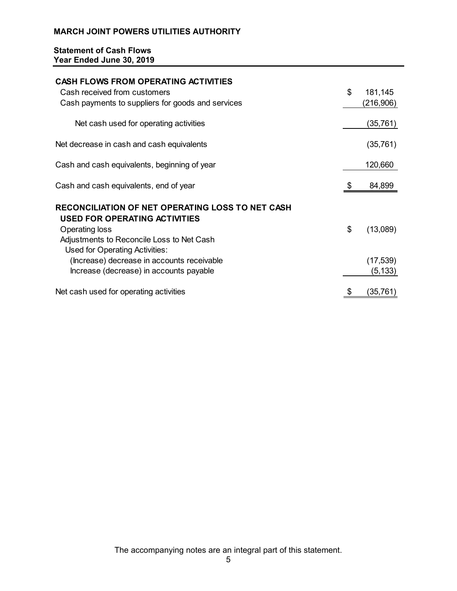## **Statement of Cash Flows Year Ended June 30, 2019**

| <b>CASH FLOWS FROM OPERATING ACTIVITIES</b>                                                     |    |                       |
|-------------------------------------------------------------------------------------------------|----|-----------------------|
| Cash received from customers                                                                    | \$ | 181,145               |
| Cash payments to suppliers for goods and services                                               |    | (216,906)             |
| Net cash used for operating activities                                                          |    | (35,761)              |
| Net decrease in cash and cash equivalents                                                       |    | (35, 761)             |
| Cash and cash equivalents, beginning of year                                                    |    | 120,660               |
| Cash and cash equivalents, end of year                                                          | S  | 84,899                |
| <b>RECONCILIATION OF NET OPERATING LOSS TO NET CASH</b><br><b>USED FOR OPERATING ACTIVITIES</b> |    |                       |
| Operating loss<br>Adjustments to Reconcile Loss to Net Cash<br>Used for Operating Activities:   | \$ | (13,089)              |
| (Increase) decrease in accounts receivable<br>Increase (decrease) in accounts payable           |    | (17, 539)<br>(5, 133) |
| Net cash used for operating activities                                                          | \$ | (35,761)              |

The accompanying notes are an integral part of this statement.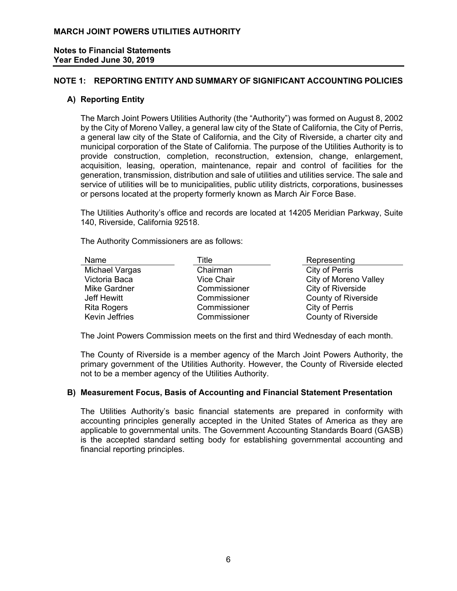#### **Notes to Financial Statements Year Ended June 30, 2019**

#### **NOTE 1: REPORTING ENTITY AND SUMMARY OF SIGNIFICANT ACCOUNTING POLICIES**

#### **A) Reporting Entity**

The March Joint Powers Utilities Authority (the "Authority") was formed on August 8, 2002 by the City of Moreno Valley, a general law city of the State of California, the City of Perris, a general law city of the State of California, and the City of Riverside, a charter city and municipal corporation of the State of California. The purpose of the Utilities Authority is to provide construction, completion, reconstruction, extension, change, enlargement, acquisition, leasing, operation, maintenance, repair and control of facilities for the generation, transmission, distribution and sale of utilities and utilities service. The sale and service of utilities will be to municipalities, public utility districts, corporations, businesses or persons located at the property formerly known as March Air Force Base.

The Utilities Authority's office and records are located at 14205 Meridian Parkway, Suite 140, Riverside, California 92518.

The Authority Commissioners are as follows:

| Name                  | Title             | Representing               |
|-----------------------|-------------------|----------------------------|
| Michael Vargas        | Chairman          | City of Perris             |
| Victoria Baca         | <b>Vice Chair</b> | City of Moreno Valley      |
| <b>Mike Gardner</b>   | Commissioner      | City of Riverside          |
| Jeff Hewitt           | Commissioner      | <b>County of Riverside</b> |
| <b>Rita Rogers</b>    | Commissioner      | City of Perris             |
| <b>Kevin Jeffries</b> | Commissioner      | <b>County of Riverside</b> |

The Joint Powers Commission meets on the first and third Wednesday of each month.

The County of Riverside is a member agency of the March Joint Powers Authority, the primary government of the Utilities Authority. However, the County of Riverside elected not to be a member agency of the Utilities Authority.

#### **B) Measurement Focus, Basis of Accounting and Financial Statement Presentation**

The Utilities Authority's basic financial statements are prepared in conformity with accounting principles generally accepted in the United States of America as they are applicable to governmental units. The Government Accounting Standards Board (GASB) is the accepted standard setting body for establishing governmental accounting and financial reporting principles.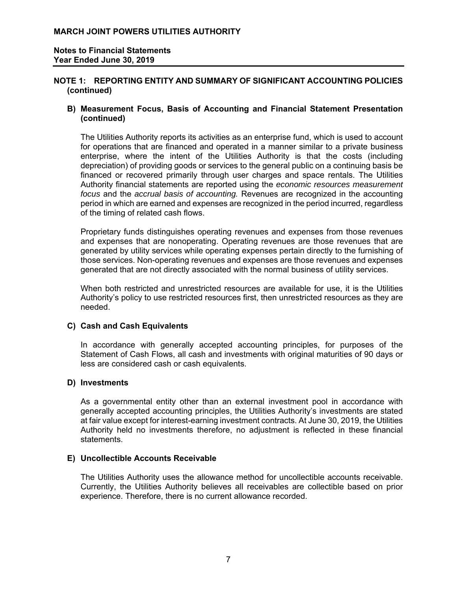#### **NOTE 1: REPORTING ENTITY AND SUMMARY OF SIGNIFICANT ACCOUNTING POLICIES (continued)**

### **B) Measurement Focus, Basis of Accounting and Financial Statement Presentation (continued)**

The Utilities Authority reports its activities as an enterprise fund, which is used to account for operations that are financed and operated in a manner similar to a private business enterprise, where the intent of the Utilities Authority is that the costs (including depreciation) of providing goods or services to the general public on a continuing basis be financed or recovered primarily through user charges and space rentals. The Utilities Authority financial statements are reported using the *economic resources measurement focus* and the *accrual basis of accounting.* Revenues are recognized in the accounting period in which are earned and expenses are recognized in the period incurred, regardless of the timing of related cash flows.

Proprietary funds distinguishes operating revenues and expenses from those revenues and expenses that are nonoperating. Operating revenues are those revenues that are generated by utility services while operating expenses pertain directly to the furnishing of those services. Non-operating revenues and expenses are those revenues and expenses generated that are not directly associated with the normal business of utility services.

When both restricted and unrestricted resources are available for use, it is the Utilities Authority's policy to use restricted resources first, then unrestricted resources as they are needed.

## **C) Cash and Cash Equivalents**

In accordance with generally accepted accounting principles, for purposes of the Statement of Cash Flows, all cash and investments with original maturities of 90 days or less are considered cash or cash equivalents.

#### **D) Investments**

As a governmental entity other than an external investment pool in accordance with generally accepted accounting principles, the Utilities Authority's investments are stated at fair value except for interest-earning investment contracts. At June 30, 2019, the Utilities Authority held no investments therefore, no adjustment is reflected in these financial statements.

#### **E) Uncollectible Accounts Receivable**

The Utilities Authority uses the allowance method for uncollectible accounts receivable. Currently, the Utilities Authority believes all receivables are collectible based on prior experience. Therefore, there is no current allowance recorded.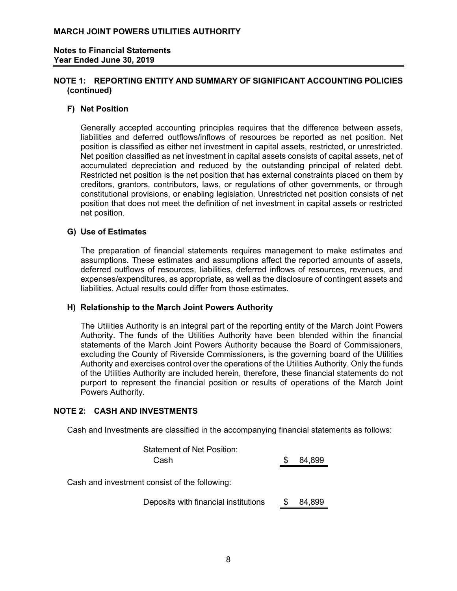### **NOTE 1: REPORTING ENTITY AND SUMMARY OF SIGNIFICANT ACCOUNTING POLICIES (continued)**

### **F) Net Position**

Generally accepted accounting principles requires that the difference between assets, liabilities and deferred outflows/inflows of resources be reported as net position. Net position is classified as either net investment in capital assets, restricted, or unrestricted. Net position classified as net investment in capital assets consists of capital assets, net of accumulated depreciation and reduced by the outstanding principal of related debt. Restricted net position is the net position that has external constraints placed on them by creditors, grantors, contributors, laws, or regulations of other governments, or through constitutional provisions, or enabling legislation. Unrestricted net position consists of net position that does not meet the definition of net investment in capital assets or restricted net position.

#### **G) Use of Estimates**

The preparation of financial statements requires management to make estimates and assumptions. These estimates and assumptions affect the reported amounts of assets, deferred outflows of resources, liabilities, deferred inflows of resources, revenues, and expenses/expenditures, as appropriate, as well as the disclosure of contingent assets and liabilities. Actual results could differ from those estimates.

#### **H) Relationship to the March Joint Powers Authority**

The Utilities Authority is an integral part of the reporting entity of the March Joint Powers Authority. The funds of the Utilities Authority have been blended within the financial statements of the March Joint Powers Authority because the Board of Commissioners, excluding the County of Riverside Commissioners, is the governing board of the Utilities Authority and exercises control over the operations of the Utilities Authority. Only the funds of the Utilities Authority are included herein, therefore, these financial statements do not purport to represent the financial position or results of operations of the March Joint Powers Authority.

#### **NOTE 2: CASH AND INVESTMENTS**

Cash and Investments are classified in the accompanying financial statements as follows:

| Statement of Net Position: |          |
|----------------------------|----------|
| Cash                       | \$84,899 |
|                            |          |

Cash and investment consist of the following:

Deposits with financial institutions  $$84,899$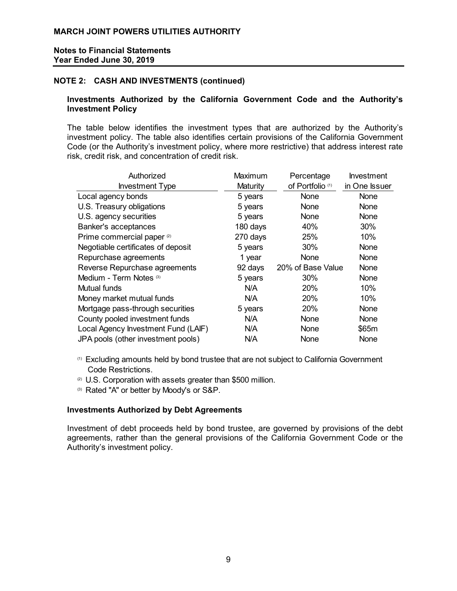### **NOTE 2: CASH AND INVESTMENTS (continued)**

#### **Investments Authorized by the California Government Code and the Authority's Investment Policy**

The table below identifies the investment types that are authorized by the Authority's investment policy. The table also identifies certain provisions of the California Government Code (or the Authority's investment policy, where more restrictive) that address interest rate risk, credit risk, and concentration of credit risk.

| Authorized                            | Maximum  | Percentage                  | <b>Investment</b> |
|---------------------------------------|----------|-----------------------------|-------------------|
| <b>Investment Type</b>                | Maturity | of Portfolio <sup>(1)</sup> | in One Issuer     |
| Local agency bonds                    | 5 years  | <b>None</b>                 | None              |
| U.S. Treasury obligations             | 5 years  | None                        | None              |
| U.S. agency securities                | 5 years  | <b>None</b>                 | None              |
| Banker's acceptances                  | 180 days | 40%                         | 30%               |
| Prime commercial paper <sup>(2)</sup> | 270 days | 25%                         | 10%               |
| Negotiable certificates of deposit    | 5 years  | 30%                         | None              |
| Repurchase agreements                 | 1 year   | <b>None</b>                 | None              |
| Reverse Repurchase agreements         | 92 days  | 20% of Base Value           | None              |
| Medium - Term Notes (3)               | 5 years  | 30%                         | None              |
| Mutual funds                          | N/A      | <b>20%</b>                  | 10%               |
| Money market mutual funds             | N/A      | <b>20%</b>                  | 10%               |
| Mortgage pass-through securities      | 5 years  | <b>20%</b>                  | None              |
| County pooled investment funds        | N/A      | <b>None</b>                 | None              |
| Local Agency Investment Fund (LAIF)   | N/A      | <b>None</b>                 | \$65m             |
| JPA pools (other investment pools)    | N/A      | None                        | None              |

- (1) Excluding amounts held by bond trustee that are not subject to California Government Code Restrictions.
- $(2)$  U.S. Corporation with assets greater than \$500 million.
- (3) Rated "A" or better by Moody's or S&P.

#### **Investments Authorized by Debt Agreements**

Investment of debt proceeds held by bond trustee, are governed by provisions of the debt agreements, rather than the general provisions of the California Government Code or the Authority's investment policy.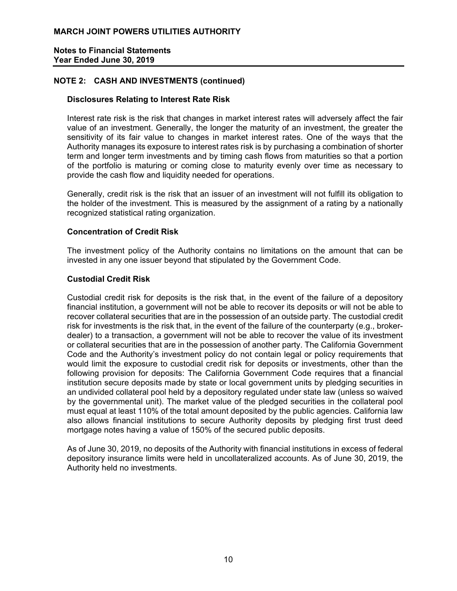#### **Notes to Financial Statements Year Ended June 30, 2019**

## **NOTE 2: CASH AND INVESTMENTS (continued)**

#### **Disclosures Relating to Interest Rate Risk**

Interest rate risk is the risk that changes in market interest rates will adversely affect the fair value of an investment. Generally, the longer the maturity of an investment, the greater the sensitivity of its fair value to changes in market interest rates. One of the ways that the Authority manages its exposure to interest rates risk is by purchasing a combination of shorter term and longer term investments and by timing cash flows from maturities so that a portion of the portfolio is maturing or coming close to maturity evenly over time as necessary to provide the cash flow and liquidity needed for operations.

Generally, credit risk is the risk that an issuer of an investment will not fulfill its obligation to the holder of the investment. This is measured by the assignment of a rating by a nationally recognized statistical rating organization.

#### **Concentration of Credit Risk**

The investment policy of the Authority contains no limitations on the amount that can be invested in any one issuer beyond that stipulated by the Government Code.

### **Custodial Credit Risk**

Custodial credit risk for deposits is the risk that, in the event of the failure of a depository financial institution, a government will not be able to recover its deposits or will not be able to recover collateral securities that are in the possession of an outside party. The custodial credit risk for investments is the risk that, in the event of the failure of the counterparty (e.g., brokerdealer) to a transaction, a government will not be able to recover the value of its investment or collateral securities that are in the possession of another party. The California Government Code and the Authority's investment policy do not contain legal or policy requirements that would limit the exposure to custodial credit risk for deposits or investments, other than the following provision for deposits: The California Government Code requires that a financial institution secure deposits made by state or local government units by pledging securities in an undivided collateral pool held by a depository regulated under state law (unless so waived by the governmental unit). The market value of the pledged securities in the collateral pool must equal at least 110% of the total amount deposited by the public agencies. California law also allows financial institutions to secure Authority deposits by pledging first trust deed mortgage notes having a value of 150% of the secured public deposits.

As of June 30, 2019, no deposits of the Authority with financial institutions in excess of federal depository insurance limits were held in uncollateralized accounts. As of June 30, 2019, the Authority held no investments.